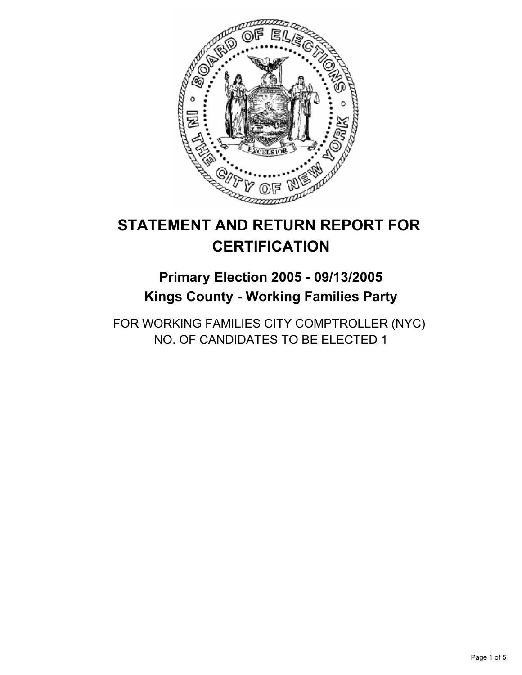

# **STATEMENT AND RETURN REPORT FOR CERTIFICATION**

# **Primary Election 2005 - 09/13/2005 Kings County - Working Families Party**

FOR WORKING FAMILIES CITY COMPTROLLER (NYC) NO. OF CANDIDATES TO BE ELECTED 1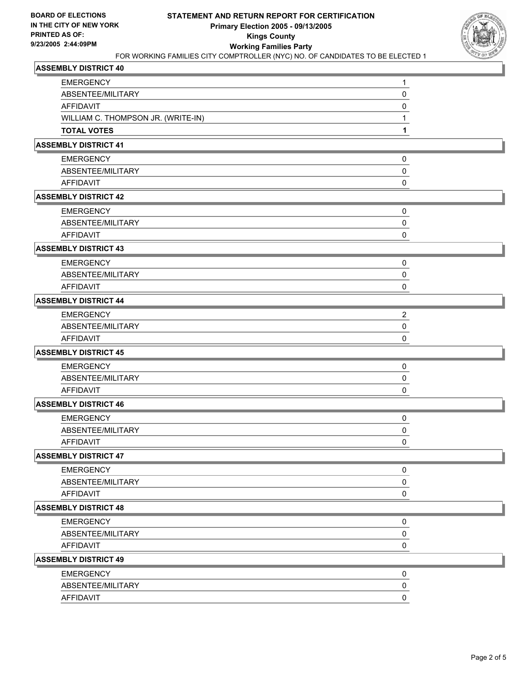

## **ASSEMBLY DISTRICT 40**

| <b>EMERGENCY</b>                   | 1            |
|------------------------------------|--------------|
| ABSENTEE/MILITARY                  | 0            |
| <b>AFFIDAVIT</b>                   | 0            |
| WILLIAM C. THOMPSON JR. (WRITE-IN) | 1            |
| <b>TOTAL VOTES</b>                 | 1            |
| <b>ASSEMBLY DISTRICT 41</b>        |              |
| <b>EMERGENCY</b>                   | 0            |
| ABSENTEE/MILITARY                  | 0            |
| <b>AFFIDAVIT</b>                   | 0            |
| <b>ASSEMBLY DISTRICT 42</b>        |              |
| <b>EMERGENCY</b>                   | 0            |
| ABSENTEE/MILITARY                  | 0            |
| AFFIDAVIT                          | 0            |
| <b>ASSEMBLY DISTRICT 43</b>        |              |
| <b>EMERGENCY</b>                   | 0            |
| ABSENTEE/MILITARY                  | 0            |
| <b>AFFIDAVIT</b>                   | 0            |
| <b>ASSEMBLY DISTRICT 44</b>        |              |
| <b>EMERGENCY</b>                   | 2            |
| ABSENTEE/MILITARY                  | 0            |
| <b>AFFIDAVIT</b>                   | 0            |
| <b>ASSEMBLY DISTRICT 45</b>        |              |
| <b>EMERGENCY</b>                   | 0            |
| ABSENTEE/MILITARY                  | 0            |
| <b>AFFIDAVIT</b>                   | 0            |
| <b>ASSEMBLY DISTRICT 46</b>        |              |
| <b>EMERGENCY</b>                   | 0            |
| ABSENTEE/MILITARY                  | 0            |
| <b>AFFIDAVIT</b>                   | 0            |
| <b>ASSEMBLY DISTRICT 47</b>        |              |
| <b>EMERGENCY</b>                   | 0            |
| ABSENTEE/MILITARY                  | 0            |
| <b>AFFIDAVIT</b>                   | 0            |
| <b>ASSEMBLY DISTRICT 48</b>        |              |
| <b>EMERGENCY</b>                   | 0            |
| ABSENTEE/MILITARY                  | 0            |
| <b>AFFIDAVIT</b>                   | 0            |
| <b>ASSEMBLY DISTRICT 49</b>        |              |
| <b>EMERGENCY</b>                   | 0            |
| ABSENTEE/MILITARY                  | 0            |
| AFFIDAVIT                          | $\mathbf{0}$ |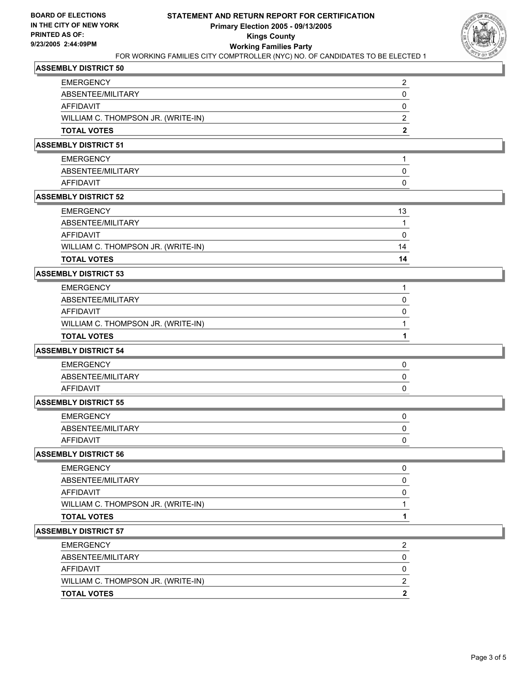

## **ASSEMBLY DISTRICT 50**

| <b>EMERGENCY</b>                   |  |
|------------------------------------|--|
| ABSENTEE/MILITARY                  |  |
| AFFIDAVIT                          |  |
| WILLIAM C. THOMPSON JR. (WRITE-IN) |  |
| <b>TOTAL VOTES</b>                 |  |

## **ASSEMBLY DISTRICT 51**

| <b>EMERGENCY</b>  |  |
|-------------------|--|
| ABSENTEE/MILITARY |  |
| AFFIDAVIT         |  |

### **ASSEMBLY DISTRICT 52**

| TOTAL VOTES                        | 14 |
|------------------------------------|----|
| WILLIAM C. THOMPSON JR. (WRITE-IN) | 14 |
| AFFIDAVIT                          |    |
| ABSENTEE/MILITARY                  |    |
| EMERGENCY                          | 13 |

### **ASSEMBLY DISTRICT 53**

| <b>TOTAL VOTES</b>                 |  |
|------------------------------------|--|
| WILLIAM C. THOMPSON JR. (WRITE-IN) |  |
| AFFIDAVIT                          |  |
| ABSENTEE/MILITARY                  |  |
| <b>EMERGENCY</b>                   |  |

#### **ASSEMBLY DISTRICT 54**

| <b>EMERGENCY</b>  |  |
|-------------------|--|
| ABSENTEE/MILITARY |  |
| AFFIDAVIT         |  |

## **ASSEMBLY DISTRICT 55**

| <b>EMERGENCY</b>  |  |
|-------------------|--|
| ABSENTEE/MILITARY |  |
| AFFIDAVIT         |  |

#### **ASSEMBLY DISTRICT 56**

| <b>EMERGENCY</b>                   |  |
|------------------------------------|--|
| ABSENTEE/MILITARY                  |  |
| <b>AFFIDAVIT</b>                   |  |
| WILLIAM C. THOMPSON JR. (WRITE-IN) |  |
| <b>TOTAL VOTES</b>                 |  |

# **ASSEMBLY DISTRICT 57**

| <b>TOTAL VOTES</b>                 |  |
|------------------------------------|--|
| WILLIAM C. THOMPSON JR. (WRITE-IN) |  |
| AFFIDAVIT                          |  |
| ABSENTEE/MILITARY                  |  |
| <b>EMERGENCY</b>                   |  |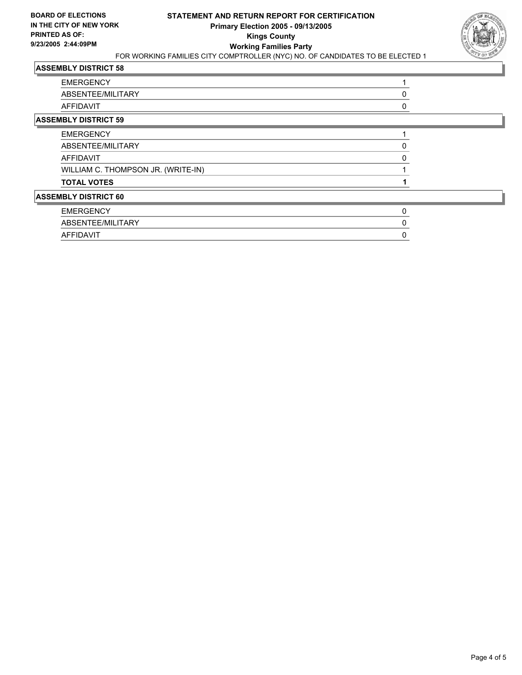

# **ASSEMBLY DISTRICT 58**

| <b>EMERGENCY</b>                   |  |
|------------------------------------|--|
| ABSENTEE/MILITARY                  |  |
| AFFIDAVIT                          |  |
| <b>ASSEMBLY DISTRICT 59</b>        |  |
| <b>EMERGENCY</b>                   |  |
| ABSENTEE/MILITARY                  |  |
| AFFIDAVIT                          |  |
| WILLIAM C. THOMPSON JR. (WRITE-IN) |  |
| <b>TOTAL VOTES</b>                 |  |
| <b>ASSEMBLY DISTRICT 60</b>        |  |
| <b>EMERGENCY</b>                   |  |

| <b>EMERGENUT</b>                                |  |
|-------------------------------------------------|--|
| <b>NTFF/MILITA</b><br><b>ARY</b><br>š⊢N I<br>⌒レ |  |
| $\sqrt{ }$                                      |  |